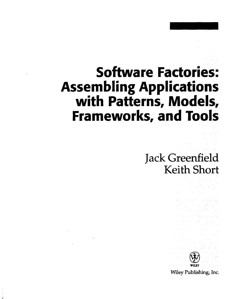## **Software Factories: Assembling Applications with Patterns, Models, Frameworks, and Tools**

Jack Greenfield Keith Short



Wiley Publishing, Inc.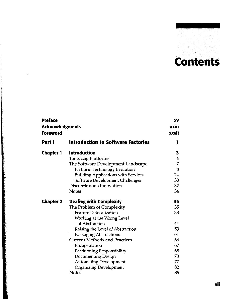**vii**

## **Contents**

| Preface<br><b>Acknowledgments</b><br>Foreword |                                            | XV<br>xxiii<br>xxvii |
|-----------------------------------------------|--------------------------------------------|----------------------|
| Part I                                        | Introduction to Software Factories         | 1                    |
| <b>Chapter 1</b>                              | <b>Introduction</b>                        | 3                    |
|                                               | <b>Tools Lag Platforms</b>                 | 4                    |
|                                               | The Software Development Landscape         | 7                    |
|                                               | <b>Platform Technology Evolution</b>       | 8                    |
|                                               | <b>Building Applications with Services</b> | 24                   |
|                                               | Software Development Challenges            | 30                   |
|                                               | Discontinuous Innovation                   | 32                   |
|                                               | <b>Notes</b>                               | 34                   |
| <b>Chapter 2</b>                              | <b>Dealing with Complexity</b>             | 35                   |
|                                               | The Problem of Complexity                  | 35                   |
|                                               | <b>Feature Delocalization</b>              | 38                   |
|                                               | Working at the Wrong Level                 |                      |
|                                               | of Abstraction                             | 41                   |
|                                               | Raising the Level of Abstraction           | 53                   |
|                                               | <b>Packaging Abstractions</b>              | 61                   |
|                                               | <b>Current Methods and Practices</b>       | 66                   |
|                                               | Encapsulation                              | 67                   |
|                                               | Partitioning Responsibility                | 68                   |
|                                               | Documenting Design                         | 73                   |
|                                               | <b>Automating Development</b>              | 77                   |
|                                               | <b>Organizing Development</b>              | 82                   |
|                                               | Notes                                      | 85                   |

*Communication of the Communication*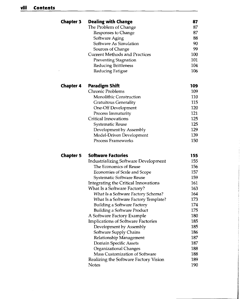| <b>Chapter 3</b> | <b>Dealing with Change</b>                  | 87  |
|------------------|---------------------------------------------|-----|
|                  | The Problem of Change                       | 87  |
|                  | Responses to Change                         | 87  |
|                  | Software Aging                              | 88  |
|                  | Software As Simulation                      | 90  |
|                  | Sources of Change                           | 99  |
|                  | <b>Current Methods and Practices</b>        | 100 |
|                  | Preventing Stagnation                       | 101 |
|                  | Reducing Brittleness                        | 104 |
|                  | Reducing Fatigue                            | 106 |
| <b>Chapter 4</b> | <b>Paradigm Shift</b>                       | 109 |
|                  | Chronic Problems                            | 109 |
|                  | <b>Monolithic Construction</b>              | 110 |
|                  | <b>Gratuitous Generality</b>                | 115 |
|                  | One-Off Development                         | 120 |
|                  | Process Immaturity                          | 121 |
|                  | <b>Critical Innovations</b>                 | 125 |
|                  | Systematic Reuse                            | 125 |
|                  | Development by Assembly                     | 129 |
|                  | Model-Driven Development                    | 139 |
|                  | <b>Process Frameworks</b>                   | 150 |
| <b>Chapter 5</b> | <b>Software Factories</b>                   | 155 |
|                  | <b>Industrializing Software Development</b> | 155 |
|                  | The Economics of Reuse                      | 156 |
|                  | Economies of Scale and Scope                | 157 |
|                  | Systematic Software Reuse                   | 159 |
|                  | Integrating the Critical Innovations        | 161 |
|                  | What Is a Software Factory?                 | 163 |
|                  | What Is a Software Factory Schema?          | 164 |
|                  | What Is a Software Factory Template?        | 173 |
|                  | <b>Building a Software Factory</b>          | 174 |
|                  | <b>Building a Software Product</b>          | 175 |
|                  | A Software Factory Example                  | 180 |
|                  | <b>Implications of Software Factories</b>   | 185 |
|                  | Development by Assembly                     | 185 |
|                  | Software Supply Chains                      | 186 |
|                  | Relationship Management                     | 187 |
|                  | Domain Specific Assets                      | 187 |
|                  | Organizational Changes                      | 188 |
|                  | Mass Customization of Software              | 188 |
|                  | Realizing the Software Factory Vision       | 189 |
|                  | Notes                                       | 190 |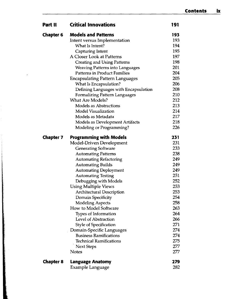| Part II          | <b>Critical Innovations</b>            | 191 |
|------------------|----------------------------------------|-----|
| <b>Chapter 6</b> | <b>Models and Patterns</b>             | 193 |
|                  | Intent versus Implementation           | 193 |
|                  | What Is Intent?                        | 194 |
|                  | Capturing Intent                       | 195 |
|                  | A Closer Look at Patterns              | 197 |
|                  | <b>Creating and Using Patterns</b>     | 198 |
|                  | <b>Weaving Patterns into Languages</b> | 201 |
|                  | <b>Patterns in Product Families</b>    | 204 |
|                  | <b>Encapsulating Pattern Languages</b> | 205 |
|                  | What Is Encapsulation?                 | 206 |
|                  | Defining Languages with Encapsulation  | 208 |
|                  | Formalizing Pattern Languages          | 210 |
|                  | <b>What Are Models?</b>                | 212 |
|                  | <b>Models as Abstractions</b>          | 213 |
|                  | <b>Model Visualization</b>             | 214 |
|                  | Models as Metadata                     | 217 |
|                  | Models as Development Artifacts        | 218 |
|                  | Modeling or Programming?               | 226 |
| <b>Chapter 7</b> | <b>Programming with Models</b>         | 231 |
|                  | Model-Driven Development               | 231 |
|                  | Generating Software                    | 233 |
|                  | <b>Automating Patterns</b>             | 238 |
|                  | <b>Automating Refactoring</b>          | 249 |
|                  | <b>Automating Builds</b>               | 249 |
|                  | <b>Automating Deployment</b>           | 249 |
|                  | <b>Automating Testing</b>              | 251 |
|                  | Debugging with Models                  | 252 |
|                  | <b>Using Multiple Views</b>            | 253 |
|                  | <b>Architectural Description</b>       | 253 |
|                  | Domain Specificity                     | 254 |
|                  | <b>Modeling Aspects</b>                | 258 |
|                  | How to Model Software                  | 263 |
|                  | Types of Information                   | 264 |
|                  | Level of Abstraction                   | 266 |
|                  | <b>Style of Specification</b>          | 271 |
|                  | Domain-Specific Languages              | 274 |
|                  | <b>Business Ramifications</b>          | 274 |
|                  | <b>Technical Ramifications</b>         | 275 |
|                  | <b>Next Steps</b>                      | 277 |
|                  | <b>Notes</b>                           | 277 |
| <b>Chapter 8</b> | <b>Language Anatomy</b>                | 279 |
|                  | Example Language                       | 282 |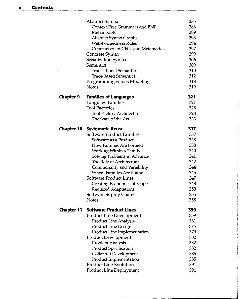$\bar{\sigma}$ 

|            | Abstract Syntax                      | 285 |
|------------|--------------------------------------|-----|
|            | <b>Context-Free Grammars and BNF</b> | 286 |
|            | Metamodels                           | 289 |
|            | Abstract Syntax Graphs               | 293 |
|            | <b>Well-Formedness Rules</b>         | 294 |
|            | Comparison of CFGs and Metamodels    | 297 |
|            | Concrete Syntax                      | 299 |
|            | Serialization Syntax                 | 306 |
|            | Semantics                            | 309 |
|            | <b>Translational Semantics</b>       | 310 |
|            | <b>Trace-Based Semantics</b>         | 312 |
|            | Programming versus Modeling          | 318 |
|            | <b>Notes</b>                         | 319 |
| Chapter 9  | <b>Families of Languages</b>         | 321 |
|            | Language Families                    | 321 |
|            | <b>Tool Factories</b>                | 328 |
|            | <b>Tool Factory Architecture</b>     | 328 |
|            | The State of the Art                 | 333 |
| Chapter 10 | <b>Systematic Reuse</b>              | 337 |
|            | Software Product Families            | 337 |
|            | Software as a Product                | 338 |
|            | How Families Are Formed              | 338 |
|            | Working Within a Family              | 340 |
|            | Solving Problems in Advance          | 341 |
|            | The Role of Architecture             | 342 |
|            | Commonality and Variability          | 344 |
|            | Where Families Are Found             | 345 |
|            | Software Product Lines               | 347 |
|            | <b>Creating Economies of Scope</b>   | 348 |
|            | <b>Required Adaptations</b>          | 350 |
|            | Software Supply Chains               | 355 |
|            | <b>Notes</b>                         | 358 |
| Chapter 11 | <b>Software Product Lines</b>        | 359 |
|            | <b>Product Line Development</b>      | 359 |
|            | <b>Product Line Analysis</b>         | 361 |
|            | Product Line Design                  | 375 |
|            | Product Line Implementation          | 379 |
|            | <b>Product Development</b>           | 382 |
|            | Problem Analysis                     | 382 |
|            | <b>Product Specification</b>         | 382 |
|            | Collateral Development               | 385 |
|            | Product Implementation               | 385 |
|            | <b>Product Line Evolution</b>        | 391 |
|            | Product Line Deployment              | 391 |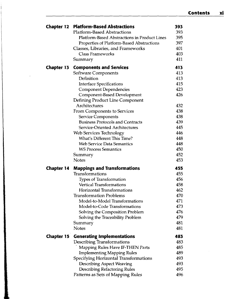| <b>Chapter 12</b> | <b>Platform-Based Abstractions</b>                                      | 393        |
|-------------------|-------------------------------------------------------------------------|------------|
|                   | <b>Platform-Based Abstractions</b>                                      | 393        |
|                   | Platform-Based Abstractions in Product Lines                            | 395        |
|                   | Properties of Platform-Based Abstractions                               | 397        |
|                   | Classes, Libraries, and Frameworks                                      | 401        |
|                   | <b>Class Frameworks</b>                                                 | 403        |
|                   | Summary                                                                 | 411        |
| <b>Chapter 13</b> | <b>Components and Services</b>                                          | 413        |
|                   | Software Components                                                     | 413        |
|                   | Definition                                                              | 413        |
|                   | <b>Interface Specifications</b>                                         | 415        |
|                   | <b>Component Dependencies</b>                                           | 423        |
|                   | Component-Based Development                                             | 426        |
|                   | Defining Product Line Component                                         |            |
|                   | Architectures                                                           | 432        |
|                   | From Components to Services                                             | 438        |
|                   | <b>Service Components</b>                                               | 438        |
|                   | <b>Business Protocols and Contracts</b>                                 | 439        |
|                   | Service-Oriented Architectures                                          | 445        |
|                   | Web Services Technology                                                 | 446        |
|                   | What's Different This Time?                                             | 448        |
|                   | <b>Web Service Data Semantics</b>                                       | 448        |
|                   | <b>WS Process Semantics</b>                                             | 450        |
|                   | Summary<br><b>Notes</b>                                                 | 452<br>453 |
|                   |                                                                         |            |
| <b>Chapter 14</b> | <b>Mappings and Transformations</b>                                     | 455        |
|                   | Transformations                                                         | 455        |
|                   | Types of Transformation                                                 | 456        |
|                   | <b>Vertical Transformations</b>                                         | 458        |
|                   | <b>Horizontal Transformations</b>                                       | 462        |
|                   | <b>Transformation Problems</b>                                          | 470        |
|                   | Model-to-Model Transformations                                          | 471        |
|                   | Model-to-Code Transformations                                           | 473        |
|                   | Solving the Composition Problem                                         | 476        |
|                   | Solving the Traceability Problem                                        | 479<br>481 |
|                   | Summary<br>Notes                                                        | 481        |
|                   |                                                                         |            |
| <b>Chapter 15</b> | <b>Generating Implementations</b>                                       | 483<br>483 |
|                   | Describing Transformations                                              | 485        |
|                   | Mapping Rules Have IF-THEN Parts                                        | 489        |
|                   | <b>Implementing Mapping Rules</b>                                       | 493        |
|                   | Specifying Horizontal Transformations                                   | 493        |
|                   | <b>Describing Aspect Weaving</b><br><b>Describing Refactoring Rules</b> | 495        |
|                   | Patterns as Sets of Mapping Rules                                       | 496        |
|                   |                                                                         |            |

 $\mathcal{A}$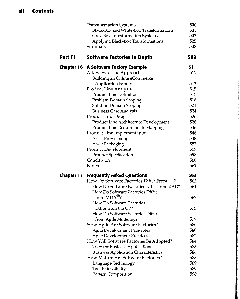|            | <b>Transformation Systems</b>                                     | 500        |
|------------|-------------------------------------------------------------------|------------|
|            | Black-Box and White-Box Transformations                           | 501        |
|            | Grey-Box Transformation Systems                                   | 503        |
|            | Applying Black-Box Transformations                                | 505        |
|            | Summary                                                           | 508        |
| Part III   | <b>Software Factories in Depth</b>                                | 509        |
| Chapter 16 | <b>A Software Factory Example</b>                                 | 511        |
|            | A Review of the Approach                                          | 511        |
|            | <b>Building an Online eCommerce</b>                               |            |
|            | <b>Application Family</b>                                         | 512        |
|            | <b>Product Line Analysis</b>                                      | 515        |
|            | <b>Product Line Definition</b>                                    | 515        |
|            | Problem Domain Scoping                                            | 518<br>521 |
|            | <b>Solution Domain Scoping</b>                                    | 524        |
|            | <b>Business Case Analysis</b><br>Product Line Design              | 526        |
|            | Product Line Architecture Development                             | 526        |
|            | <b>Product Line Requirements Mapping</b>                          | 546        |
|            | Product Line Implementation                                       | 548        |
|            | <b>Asset Provisioning</b>                                         | 548        |
|            | <b>Asset Packaging</b>                                            | 557        |
|            | Product Development                                               | 557        |
|            | Product Specification                                             | 558        |
|            | Conclusion                                                        | 560        |
|            | <b>Notes</b>                                                      | 561        |
| Chapter 17 | <b>Frequently Asked Questions</b>                                 | 563        |
|            | How Do Software Factories Differ From?                            | 563        |
|            | How Do Software Factories Differ from RAD?                        | 564        |
|            | How Do Software Factories Differ                                  |            |
|            | from $MDA^{\circledR}$ ?                                          | 567        |
|            | How Do Software Factories                                         |            |
|            | Differ from the UP?                                               | 573        |
|            | How Do Software Factories Differ                                  |            |
|            | from Agile Modeling?                                              | 577<br>580 |
|            | How Agile Are Software Factories?<br>Agile Development Principles | 580        |
|            | <b>Agile Development Practices</b>                                | 582        |
|            | How Will Software Factories Be Adopted?                           | 584        |
|            | <b>Types of Business Applications</b>                             | 586        |
|            | <b>Business Application Characteristics</b>                       | 586        |
|            | How Mature Are Software Factories?                                | 588        |
|            | Language Technology                                               | 589        |
|            | <b>Tool Extensibility</b>                                         | 589        |
|            | <b>Pattern Composition</b>                                        | 590        |
|            |                                                                   |            |